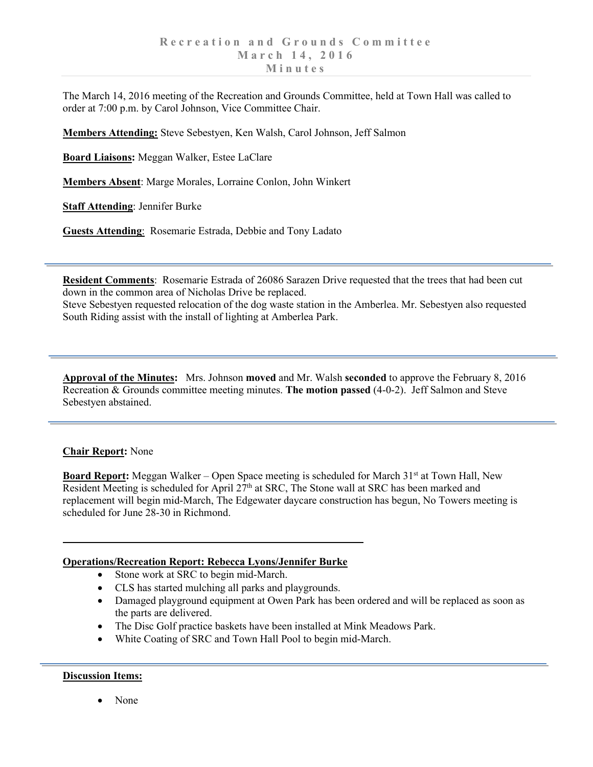The March 14, 2016 meeting of the Recreation and Grounds Committee, held at Town Hall was called to order at 7:00 p.m. by Carol Johnson, Vice Committee Chair.

**Members Attending:** Steve Sebestyen, Ken Walsh, Carol Johnson, Jeff Salmon

**Board Liaisons:** Meggan Walker, Estee LaClare

**Members Absent**: Marge Morales, Lorraine Conlon, John Winkert

**Staff Attending**: Jennifer Burke

**Guests Attending**: Rosemarie Estrada, Debbie and Tony Ladato

**Resident Comments**: Rosemarie Estrada of 26086 Sarazen Drive requested that the trees that had been cut down in the common area of Nicholas Drive be replaced.

Steve Sebestyen requested relocation of the dog waste station in the Amberlea. Mr. Sebestyen also requested South Riding assist with the install of lighting at Amberlea Park.

**Approval of the Minutes:** Mrs. Johnson **moved** and Mr. Walsh **seconded** to approve the February 8, 2016 Recreation & Grounds committee meeting minutes. **The motion passed** (4-0-2). Jeff Salmon and Steve Sebestyen abstained.

## **Chair Report:** None

**Board Report:** Meggan Walker – Open Space meeting is scheduled for March 31<sup>st</sup> at Town Hall, New Resident Meeting is scheduled for April  $27<sup>th</sup>$  at SRC, The Stone wall at SRC has been marked and replacement will begin mid-March, The Edgewater daycare construction has begun, No Towers meeting is scheduled for June 28-30 in Richmond.

## **Operations/Recreation Report: Rebecca Lyons/Jennifer Burke**

- Stone work at SRC to begin mid-March.
- CLS has started mulching all parks and playgrounds.
- Damaged playground equipment at Owen Park has been ordered and will be replaced as soon as the parts are delivered.
- The Disc Golf practice baskets have been installed at Mink Meadows Park.
- White Coating of SRC and Town Hall Pool to begin mid-March.

## **Discussion Items:**

• None